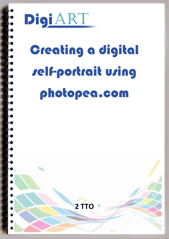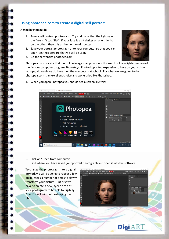## **Using photopea.com to create a digital self portrait**

## **A step by step guide**

- 1. Take a self portrait photograph. Try and make that the lighting on the face isn't too "flat". If your face is a bit darker on one side than on the other, then this assignment works better.
- 2. Save your portrait photograph onto your computer so that you can open it in the software that we will be using
- 3. Go to the website photopea.com



Photopea.com is a site that has online image manipulation software. It is like a lighter version of the famous computer program *Photoshop*. Photoshop is too expensive to have on your school laptops, although we do have it on the computers at school. For what we are going to do, photopea.com is an excellent choice and works a lot like Photoshop.

- ← → C A d https://www.photopea.com  $\mathbb{R}$   $\sim$ es  $1x \leftarrow \perp PNG \perp SVG \perp$ 法用号  $\bigcap$ 2 Photopea tį. T  $\frac{1}{2}$ • New Project • Open From Computer  $\overline{\mathbf{T}}$ • PSD Templates Demo: pea.psd milk.sketch  $\overline{O}$   $\overline{\phantom{a}}$   $\overline{\phantom{a}}$   $\overline{\phantom{a}}$   $\overline{\phantom{a}}$   $\overline{\phantom{a}}$   $\overline{\phantom{a}}$   $\overline{\phantom{a}}$   $\overline{\phantom{a}}$   $\overline{\phantom{a}}$   $\overline{\phantom{a}}$   $\overline{\phantom{a}}$   $\overline{\phantom{a}}$   $\overline{\phantom{a}}$   $\overline{\phantom{a}}$   $\overline{\phantom{a}}$   $\overline{\phantom{a}}$   $\overline{\phantom{a}}$   $\overline{\phantom{$  $+60$  $\mathbf{a}$ Ps Nill Ing Ai  $\overline{O}$  Type here to search
- 4. When you open Photopea you should see a screen like this:

- 5. Click on "Open from computer"
- 6. Find where you have saved your portrait photograph and open it into the software

To change the photograph into a digital artwork we will be going to repeat a few digital steps a number of times to slowly transform your picture. But first we have to create a new layer on top of your photograph to be able to digitally "paint" on it without destroying the photo.



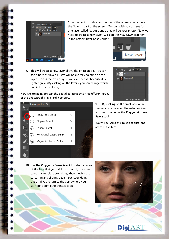

of the photograph single, solid colours.

7. In the bottom right-hand corner of the screen you can see the "layers" part of the screen. To start with you can see just one layer called 'background', that will be your photo. Now we need to create a new layer. Click on the *New Layer* icon right

in the bottom right-hand corner.



8. This will create a new layer above the photograph. You can see it here as 'Layer 1'. We will be digitally painting on this layer. This is the active layer (you can see that because it is lighter grey. (By clicking on the layers, you can change which one is the active layer)

Now we are going to start the digital painting by giving different areas

ock:  $\blacksquare$   $\blacklozenge$   $\looparrowright$   $\blacksquare$  Fill: 100%  $\blacktriangledown$ Backgroun  $\begin{picture}(150,45) \put(0,0){\line(1,0){10}} \put(15,0){\line(1,0){10}} \put(15,0){\line(1,0){10}} \put(15,0){\line(1,0){10}} \put(15,0){\line(1,0){10}} \put(15,0){\line(1,0){10}} \put(15,0){\line(1,0){10}} \put(15,0){\line(1,0){10}} \put(15,0){\line(1,0){10}} \put(15,0){\line(1,0){10}} \put(15,0){\line(1,0){10}} \put(15,0){\line($ 



9. By clicking on the small arrow (in the red circle here) on the selection icon you need to choose the *Polygonal Lasso Select* tool.

We will be using this to select different areas of the face.

10. Use the *Polygonal Lasso Select* to select an area of the face that you think has roughly the same colour. You select by clicking, then moving the cursor on and clicking again. You keep doing this until you return to the point where you started to complete the selection.



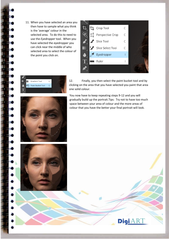11. When you have selected an area you then have to sample what you think is the 'average' colour in the selected area. To do this to need to use the *Eyedropper* tool. When you have selected the eyedropper you can click near the middle of who selected area to select the colour of the point you click on.





12. Finally, you then select the paint bucket tool and by clicking on the area that you have selected you paint that area one solid colour.

You now have to keep repeating steps 9-12 and you will gradually build up the portrait.Tips: Try not to have too much space between your area of colour and the more areas of colour that you have the better your final portrait will look.

**DigiART**